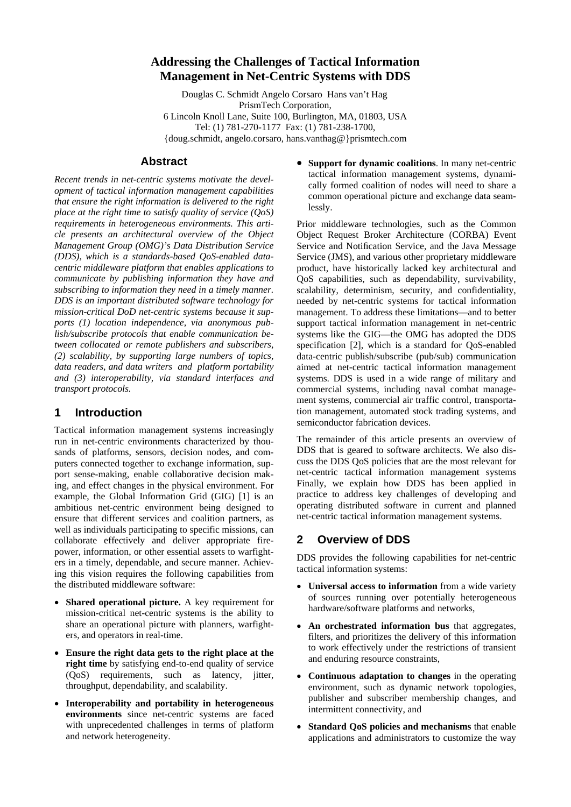# <span id="page-0-0"></span>**Addressing the Challenges of Tactical Information Management in Net-Centric Systems with DDS**

Douglas C. Schmidt Angelo Corsaro Hans van't Hag PrismTech Corporation, 6 Lincoln Knoll Lane, Suite 100, Burlington, MA, 01803, USA Tel: (1) 781-270-1177 Fax: (1) 781-238-1700, {doug.schmidt, angelo.corsaro, hans.vanthag@}prismtech.com

#### **Abstract**

*Recent trends in net-centric systems motivate the development of tactical information management capabilities that ensure the right information is delivered to the right place at the right time to satisfy quality of service (QoS) requirements in heterogeneous environments. This article presents an architectural overview of the Object Management Group (OMG)'s Data Distribution Service (DDS), which is a standards-based QoS-enabled datacentric middleware platform that enables applications to communicate by publishing information they have and subscribing to information they need in a timely manner. DDS is an important distributed software technology for mission-critical DoD net-centric systems because it supports (1) location independence, via anonymous publish/subscribe protocols that enable communication between collocated or remote publishers and subscribers, (2) scalability, by supporting large numbers of topics, data readers, and data writers and platform portability and (3) interoperability, via standard interfaces and transport protocols.* 

#### **1 Introduction**

Tactical information management systems increasingly run in net-centric environments characterized by thousands of platforms, sensors, decision nodes, and computers connected together to exchange information, support sense-making, enable collaborative decision making, and effect changes in the physical environment. For example, the Global Information Grid (GIG) [\[1](#page-0-0)] is an ambitious net-centric environment being designed to ensure that different services and coalition partners, as well as individuals participating to specific missions, can collaborate effectively and deliver appropriate firepower, information, or other essential assets to warfighters in a timely, dependable, and secure manner. Achieving this vision requires the following capabilities from the distributed middleware software:

- **Shared operational picture.** A key requirement for mission-critical net-centric systems is the ability to share an operational picture with planners, warfighters, and operators in real-time.
- **Ensure the right data gets to the right place at the right time** by satisfying end-to-end quality of service (QoS) requirements, such as latency, jitter, throughput, dependability, and scalability.
- **Interoperability and portability in heterogeneous environments** since net-centric systems are faced with unprecedented challenges in terms of platform and network heterogeneity.

• **Support for dynamic coalitions**. In many net-centric tactical information management systems, dynamically formed coalition of nodes will need to share a common operational picture and exchange data seamlessly.

Prior middleware technologies, such as the Common Object Request Broker Architecture (CORBA) Event Service and Notification Service, and the Java Message Service (JMS), and various other proprietary middleware product, have historically lacked key architectural and QoS capabilities, such as dependability, survivability, scalability, determinism, security, and confidentiality, needed by net-centric systems for tactical information management. To address these limitations—and to better support tactical information management in net-centric systems like the GIG—the OMG has adopted the DDS specification [\[2](#page-5-0)], which is a standard for QoS-enabled data-centric publish/subscribe (pub/sub) communication aimed at net-centric tactical information management systems. DDS is used in a wide range of military and commercial systems, including naval combat management systems, commercial air traffic control, transportation management, automated stock trading systems, and semiconductor fabrication devices.

The remainder of this article presents an overview of DDS that is geared to software architects. We also discuss the DDS QoS policies that are the most relevant for net-centric tactical information management systems Finally, we explain how DDS has been applied in practice to address key challenges of developing and operating distributed software in current and planned net-centric tactical information management systems.

## **2 Overview of DDS**

DDS provides the following capabilities for net-centric tactical information systems:

- **Universal access to information** from a wide variety of sources running over potentially heterogeneous hardware/software platforms and networks,
- **An orchestrated information bus** that aggregates, filters, and prioritizes the delivery of this information to work effectively under the restrictions of transient and enduring resource constraints,
- **Continuous adaptation to changes** in the operating environment, such as dynamic network topologies, publisher and subscriber membership changes, and intermittent connectivity, and
- **Standard QoS policies and mechanisms** that enable applications and administrators to customize the way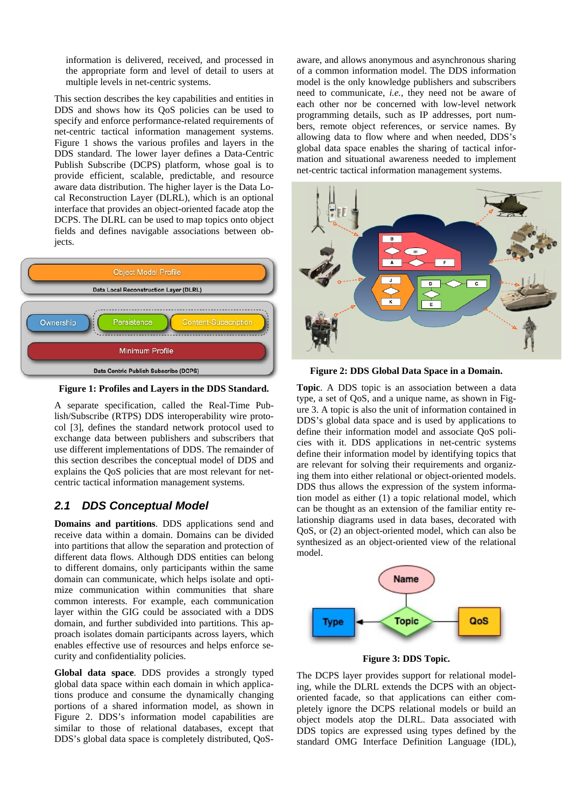information is delivered, received, and processed in the appropriate form and level of detail to users at multiple levels in net-centric systems.

This section describes the key capabilities and entities in DDS and shows how its QoS policies can be used to specify and enforce performance-related requirements of net-centric tactical information management systems. Figure 1 shows the various profiles and layers in the DDS standard. The lower layer defines a Data-Centric Publish Subscribe (DCPS) platform, whose goal is to provide efficient, scalable, predictable, and resource aware data distribution. The higher layer is the Data Local Reconstruction Layer (DLRL), which is an optional interface that provides an object-oriented facade atop the DCPS. The DLRL can be used to map topics onto object fields and defines navigable associations between objects.



**Figur e 1: Profiles and Layers in the DDS Standard.** 

A separate specification, called the Real-Time Publish/Subscribe (RTPS) DDS interoperability wire protocol [3], defines the standard network protocol used to exchange data between publishers and subscribers that use different implementations of DDS. The remainder of this section describes the conceptual model of DDS and explains the QoS policies that are most relevant for netcentric tactical information management systems.

# *2.1 DDS Conceptual Model*

**Domains and partitions**. DDS applications send and receive data within a domain. Domains can be divided into partitions that allow the separation and protection of different data flows. Although DDS entities can belong to different domains, only participants within the same domain can communicate, which helps isolate and optimize communication within communities that share common interests. For example, each communication layer within the GIG could be associated with a DDS domain, and further subdivided into partitions. This approach isolates domain participants across layers, which enables effective use of resources and helps enforce security and confidentiality policies.

Global data space. DDS provides a strongly typed global data space within each domain in which applications produce and consume the dynamically changing portions of a shared information model, as shown in Figure 2. DDS's information model capabilities are similar to those of relational databases, except that DDS's global data space is completely distributed, QoS-

aware, and allows anonymous and asynchronous sharing of a common information model. The DDS information model is the only knowledge publishers and subscribers need to communicate, *i.e.*, they need not be aware of each other nor be concerned with low-level network programming details, such as IP addresses, port numbers, remote object references, or service names. By allowing data to flow where and when needed, DDS's global data space enables the sharing of tactical information and situational awareness needed to implement net-centric tactical information management systems.



**Figure 2: DDS Global Data Space in a Domain.** 

**Topic**. A DDS topic is an association between a data type, a set of QoS, and a unique name, as shown in Figure 3. A topic is also the unit of information contained in DDS's global data space and is used by applications to define their information model and associate QoS policies with it. DDS applications in net-centric systems define their information model by identifying topics that are relevant for solving their requirements and organizing them into either relational or object-oriented models. DDS thus allows the expression of the system information model as either (1) a topic relational model, which can be thought as an extension of the familiar entity relationship diagrams used in data bases, decorated with QoS, or (2) an object-oriented model, which can also be synthesized as an object-oriented view of the relational model.



**Figure 3: DDS Topic.** 

The DCPS layer provides support for relational modeling, while the DLRL extends the DCPS with an objectoriented facade, so that applications can either completely ignore the DCPS relational models or build an object models atop the DLRL. Data associated with DDS topics are expressed using types defined by the standard OMG Interface Definition Language (IDL),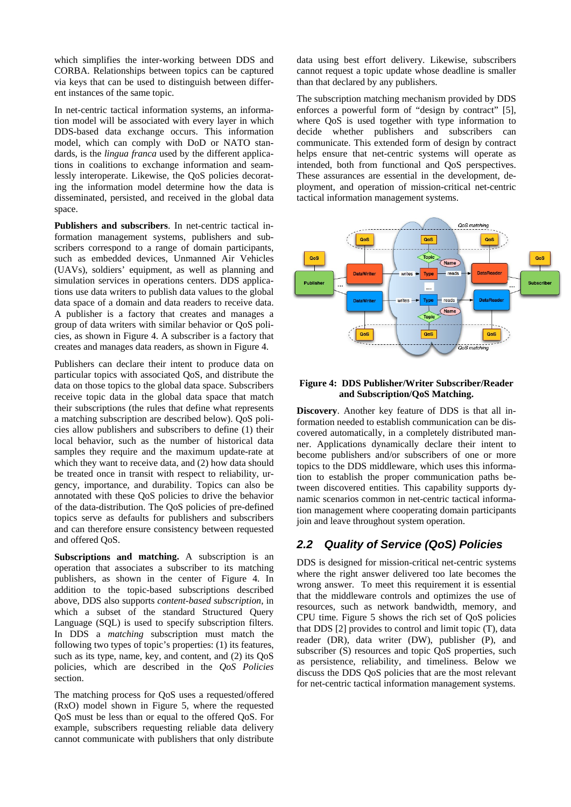which simplifies the inter-working between DDS and CORBA. Relationships between topics can be captured via keys that can be used to distinguish between different instances of the same topic.

In net-centric tactical information systems, an information model will be associated with every layer in which DDS-based data exchange occurs. This information model, which can comply with DoD or NATO standards, is the *lingua franca* used by the different applications in coalitions to exchange information and seamlessly interoperate. Likewise, the QoS policies decorating the information model determine how the data is disseminated, persisted, and received in the global data space.

Publishers and subscribers. In net-centric tactical information management systems, publishers and subscribers correspond to a range of domain participants, such as embedded devices, Unmanned Air Vehicles (UAVs), soldiers' equipment, as well as planning and simulation services in operations centers. DDS applications use data writers to publish data values to the global data space of a domain and data readers to receive data. A publisher is a factory that creates and manages a group of data writers with similar behavior or QoS policies, as shown in Figure 4. A subscriber is a factory that creates and manages data readers, as shown in Figure 4.

Publishers can declare their intent to produce data on particular topics with associated QoS, and distribute the data on those topics to the global data space. Subscribers receive topic data in the global data space that match their subscriptions (the rules that define what represents a matching subscription are described below). QoS policies allow publishers and subscribers to define (1) their local behavior, such as the number of historical data samples they require and the maximum update-rate at which they want to receive data, and (2) how data should be treated once in transit with respect to reliability, urgency, importance, and durability. Topics can also be annotated with these QoS policies to drive the behavior of the data-distribution. The QoS policies of pre-defined topics serve as defaults for publishers and subscribers and can therefore ensure consistency between requested and offered QoS.

Subscriptions and matching. A subscription is an operation that associates a subscriber to its matching publishers, as shown in the center of Figure 4. In addition to the topic-based subscriptions described above, DDS also supports *content-based subscription*, in which a subset of the standard Structured Query Language (SQL) is used to specify subscription filters. In DDS a *matching* subscription must match the following two types of topic's properties: (1) its features, such as its type, name, key, and content, and (2) its QoS policies, which are described in the *QoS Policies*  section.

The matching process for QoS uses a requested/offered (RxO) model shown in Figure 5, where the requested QoS must be less than or equal to the offered QoS. For example, subscribers requesting reliable data delivery cannot communicate with publishers that only distribute

data using best effort delivery. Likewise, subscribers cannot request a topic update whose deadline is smaller than that declared by any publishers.

The subscription matching mechanism provided by DDS enforces a powerful form of "design by contract" [5], where QoS is used together with type information to decide whether publishers and subscribers can communicate. This extended form of design by contract helps ensure that net-centric systems will operate as intended, both from functional and QoS perspectives. These assurances are essential in the development, deployment, and operation of mission-critical net-centric tactical information management systems.



#### **Figure 4: DDS Publisher/Writer Subscriber/Reader and Subscription/QoS Matching.**

Discovery. Another key feature of DDS is that all information needed to establish communication can be discovered automatically, in a completely distributed manner. Applications dynamically declare their intent to become publishers and/or subscribers of one or more topics to the DDS middleware, which uses this information to establish the proper communication paths between discovered entities. This capability supports dynamic scenarios common in net-centric tactical information management where cooperating domain participants join and leave throughout system operation.

# *2.2 Quality of Service (QoS) Policies*

DDS is designed for mission-critical net-centric systems where the right answer delivered too late becomes the wrong answer. To meet this requirement it is essential that the middleware controls and optimizes the use of resources, such as network bandwidth, memory, and CPU time. Figure 5 shows the rich set of QoS policies that DDS [2] provides to control and limit topic (T), data reader (DR), data writer (DW), publisher (P), and subscriber (S) resources and topic OoS properties, such as persistence, reliability, and timeliness. Below we discuss the DDS QoS policies that are the most relevant for net-centric tactical information management systems.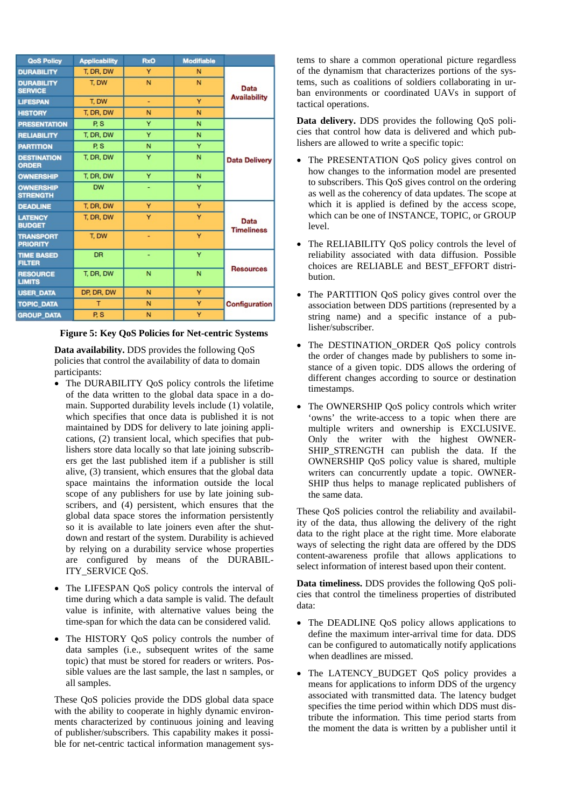| <b>QoS Policy</b>                   | <b>Applicability</b> | <b>RxO</b> | <b>Modifiable</b> |                             |
|-------------------------------------|----------------------|------------|-------------------|-----------------------------|
| <b>DURABILITY</b>                   | T, DR, DW            | Y          | N                 | Data<br><b>Availability</b> |
| <b>DURABILITY</b><br><b>SERVICE</b> | T. DW                | N          | N                 |                             |
| <b>LIFESPAN</b>                     | T. DW                | ٠          | Y                 |                             |
| <b>HISTORY</b>                      | T. DR. DW            | N          | N                 |                             |
| <b>PRESENTATION</b>                 | P.S.                 | Y          | N                 | <b>Data Delivery</b>        |
| <b>RELIABILITY</b>                  | T. DR. DW            | Ÿ          | N                 |                             |
| <b>PARTITION</b>                    | P.S                  | N          | Y                 |                             |
| <b>DESTINATION</b><br><b>ORDER</b>  | T. DR. DW            | Y          | N                 |                             |
| <b>OWNERSHIP</b>                    | T. DR. DW            | Y          | N                 |                             |
| <b>OWNERSHIP</b><br><b>STRENGTH</b> | <b>DW</b>            | ۰          | Y                 |                             |
| <b>DEADLINE</b>                     | T. DR. DW            | Y          | Y                 | Data<br><b>Timeliness</b>   |
| <b>LATENCY</b><br><b>BUDGET</b>     | T. DR. DW            | Y          | Y                 |                             |
| <b>TRANSPORT</b><br><b>PRIORITY</b> | T. DW                |            | Y                 |                             |
| <b>TIME BASED</b><br><b>FILTER</b>  | <b>DR</b>            | ۰          | Y                 | <b>Resources</b>            |
| <b>RESOURCE</b><br><b>LIMITS</b>    | T, DR, DW            | N          | N                 |                             |
| <b>USER DATA</b>                    | DP, DR, DW           | N          | Y                 | Configuration               |
| <b>TOPIC DATA</b>                   | т                    | N          | Y                 |                             |
| <b>GROUP DATA</b>                   | P.S                  | N          | Y                 |                             |

#### **Figure 5: Key QoS Policies for Net-centric Systems**

**Data availability.** DDS provides the following QoS policies that control the availability of data to domain participants:

- The DURABILITY QoS policy controls the lifetime of the data written to the global data space in a domain. Supported durability levels include (1) volatile, which specifies that once data is published it is not maintained by DDS for delivery to late joining applications, (2) transient local, which specifies that publishers store data locally so that late joining subscribers get the last published item if a publisher is still alive, (3) transient, which ensures that the global data space maintains the information outside the local scope of any publishers for use by late joining subscribers, and (4) persistent, which ensures that the global data space stores the information persistently so it is available to late joiners even after the shutdown and restart of the system. Durability is achieved by relying on a durability service whose properties are configured by means of the DURABIL-ITY\_SERVICE QoS.
- The LIFESPAN QoS policy controls the interval of time during which a data sample is valid. The default value is infinite, with alternative values being the time-span for which the data can be considered valid.
- The HISTORY QoS policy controls the number of data samples (i.e., subsequent writes of the same topic) that must be stored for readers or writers. Possible values are the last sample, the last n samples, or all samples.

These QoS policies provide the DDS global data space with the ability to cooperate in highly dynamic environments characterized by continuous joining and leaving of publisher/subscribers. This capability makes it possible for net-centric tactical information management sys-

tems to share a common operational picture regardless of the dynamism that characterizes portions of the systems, such as coalitions of soldiers collaborating in urban environments or coordinated UAVs in support of tactical operations.

**Data delivery.** DDS provides the following QoS policies that control how data is delivered and which publishers are allowed to write a specific topic:

- The PRESENTATION QoS policy gives control on how changes to the information model are presented to subscribers. This QoS gives control on the ordering as well as the coherency of data updates. The scope at which it is applied is defined by the access scope, which can be one of INSTANCE, TOPIC, or GROUP level.
- The RELIABILITY QoS policy controls the level of reliability associated with data diffusion. Possible choices are RELIABLE and BEST\_EFFORT distribution.
- The PARTITION QoS policy gives control over the association between DDS partitions (represented by a string name) and a specific instance of a publisher/subscriber.
- The DESTINATION ORDER OoS policy controls the order of changes made by publishers to some instance of a given topic. DDS allows the ordering of different changes according to source or destination timestamps.
- The OWNERSHIP OoS policy controls which writer 'owns' the write-access to a topic when there are multiple writers and ownership is EXCLUSIVE. Only the writer with the highest OWNER-SHIP STRENGTH can publish the data. If the OWNERSHIP QoS policy value is shared, multiple writers can concurrently update a topic. OWNER-SHIP thus helps to manage replicated publishers of the same data.

These QoS policies control the reliability and availability of the data, thus allowing the delivery of the right data to the right place at the right time. More elaborate ways of selecting the right data are offered by the DDS content-awareness profile that allows applications to select information of interest based upon their content.

**Data timeliness.** DDS provides the following QoS policies that control the timeliness properties of distributed data:

- The DEADLINE QoS policy allows applications to define the maximum inter-arrival time for data. DDS can be configured to automatically notify applications when deadlines are missed.
- The LATENCY\_BUDGET QoS policy provides a means for applications to inform DDS of the urgency associated with transmitted data. The latency budget specifies the time period within which DDS must distribute the information. This time period starts from the moment the data is written by a publisher until it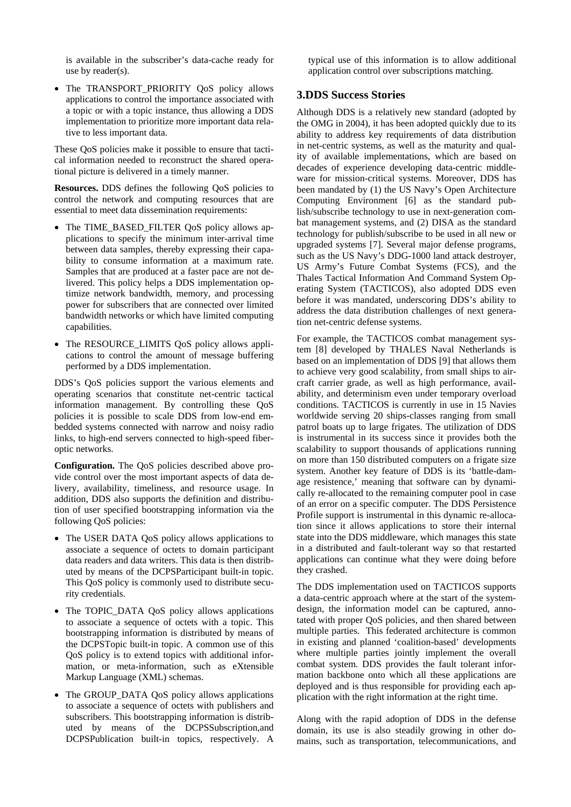is available in the subscriber's data-cache ready for use by reader(s).

• The TRANSPORT PRIORITY QoS policy allows applications to control the importance associated with a topic or with a topic instance, thus allowing a DDS implementation to prioritize more important data relative to less important data.

These QoS policies make it possible to ensure that tactical information needed to reconstruct the shared operational picture is delivered in a timely manner.

**Resources.** DDS defines the following QoS policies to control the network and computing resources that are essential to meet data dissemination requirements:

- The TIME\_BASED\_FILTER QoS policy allows applications to specify the minimum inter-arrival time between data samples, thereby expressing their capability to consume information at a maximum rate. Samples that are produced at a faster pace are not delivered. This policy helps a DDS implementation optimize network bandwidth, memory, and processing power for subscribers that are connected over limited bandwidth networks or which have limited computing capabilities.
- The RESOURCE LIMITS QoS policy allows applications to control the amount of message buffering performed by a DDS implementation.

DDS's QoS policies support the various elements and operating scenarios that constitute net-centric tactical information management. By controlling these QoS policies it is possible to scale DDS from low-end embedded systems connected with narrow and noisy radio links, to high-end servers connected to high-speed fiberoptic networks.

**Configuration.** The QoS policies described above provide control over the most important aspects of data delivery, availability, timeliness, and resource usage. In addition, DDS also supports the definition and distribution of user specified bootstrapping information via the following QoS policies:

- The USER DATA QoS policy allows applications to associate a sequence of octets to domain participant data readers and data writers. This data is then distributed by means of the DCPSParticipant built-in topic. This QoS policy is commonly used to distribute security credentials.
- The TOPIC\_DATA QoS policy allows applications to associate a sequence of octets with a topic. This bootstrapping information is distributed by means of the DCPSTopic built-in topic. A common use of this QoS policy is to extend topics with additional information, or meta-information, such as eXtensible Markup Language (XML) schemas.
- The GROUP\_DATA QoS policy allows applications to associate a sequence of octets with publishers and subscribers. This bootstrapping information is distributed by means of the DCPSSubscription,and DCPSPublication built-in topics, respectively. A

typical use of this information is to allow additional application control over subscriptions matching.

### **3.DDS Success Stories**

Although DDS is a relatively new standard (adopted by the OMG in 2004), it has been adopted quickly due to its ability to address key requirements of data distribution in net-centric systems, as well as the maturity and quality of available implementations, which are based on decades of experience developing data-centric middleware for mission-critical systems. Moreover, DDS has been mandated by (1) the US Navy's Open Architecture Computing Environment [6] as the standard publish/subscribe technology to use in next-generation combat management systems, and (2) DISA as the standard technology for publish/subscribe to be used in all new or upgraded systems [7]. Several major defense programs, such as the US Navy's DDG-1000 land attack destroyer, US Army's Future Combat Systems (FCS), and the Thales Tactical Information And Command System Operating System (TACTICOS), also adopted DDS even before it was mandated, underscoring DDS's ability to address the data distribution challenges of next generation net-centric defense systems.

For example, the TACTICOS combat management system [8] developed by THALES Naval Netherlands is based on an implementation of DDS [9] that allows them to achieve very good scalability, from small ships to aircraft carrier grade, as well as high performance, availability, and determinism even under temporary overload conditions. TACTICOS is currently in use in 15 Navies worldwide serving 20 ships-classes ranging from small patrol boats up to large frigates. The utilization of DDS is instrumental in its success since it provides both the scalability to support thousands of applications running on more than 150 distributed computers on a frigate size system. Another key feature of DDS is its 'battle-damage resistence,' meaning that software can by dynamically re-allocated to the remaining computer pool in case of an error on a specific computer. The DDS Persistence Profile support is instrumental in this dynamic re-allocation since it allows applications to store their internal state into the DDS middleware, which manages this state in a distributed and fault-tolerant way so that restarted applications can continue what they were doing before they crashed.

The DDS implementation used on TACTICOS supports a data-centric approach where at the start of the systemdesign, the information model can be captured, annotated with proper QoS policies, and then shared between multiple parties. This federated architecture is common in existing and planned 'coalition-based' developments where multiple parties jointly implement the overall combat system. DDS provides the fault tolerant information backbone onto which all these applications are deployed and is thus responsible for providing each application with the right information at the right time.

Along with the rapid adoption of DDS in the defense domain, its use is also steadily growing in other domains, such as transportation, telecommunications, and